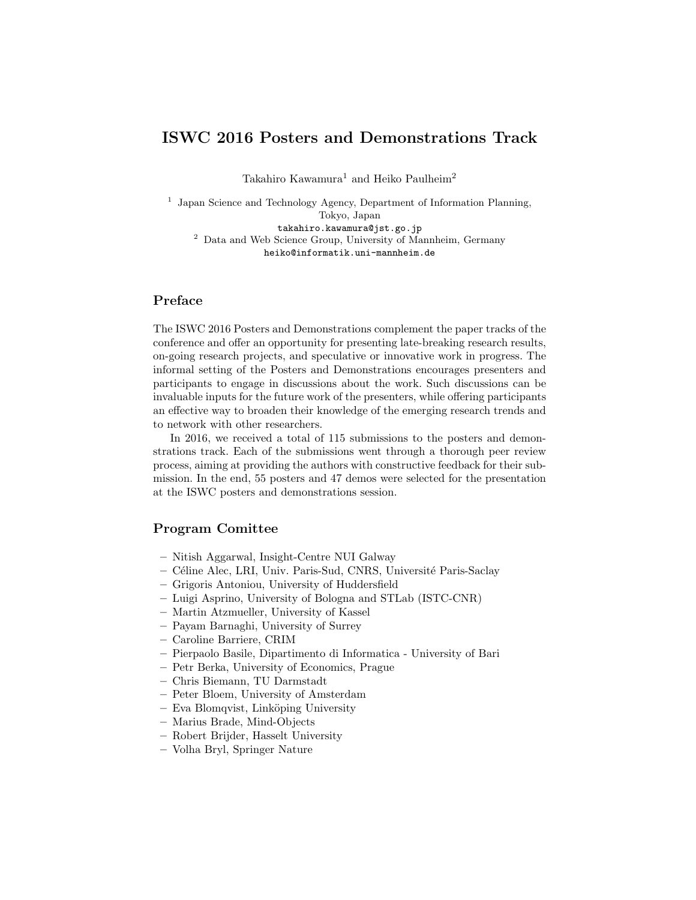## ISWC 2016 Posters and Demonstrations Track

Takahiro Kawamura<sup>1</sup> and Heiko Paulheim<sup>2</sup>

<sup>1</sup> Japan Science and Technology Agency, Department of Information Planning, Tokyo, Japan takahiro.kawamura@jst.go.jp <sup>2</sup> Data and Web Science Group, University of Mannheim, Germany heiko@informatik.uni-mannheim.de

## Preface

The ISWC 2016 Posters and Demonstrations complement the paper tracks of the conference and offer an opportunity for presenting late-breaking research results, on-going research projects, and speculative or innovative work in progress. The informal setting of the Posters and Demonstrations encourages presenters and participants to engage in discussions about the work. Such discussions can be invaluable inputs for the future work of the presenters, while offering participants an effective way to broaden their knowledge of the emerging research trends and to network with other researchers.

In 2016, we received a total of 115 submissions to the posters and demonstrations track. Each of the submissions went through a thorough peer review process, aiming at providing the authors with constructive feedback for their submission. In the end, 55 posters and 47 demos were selected for the presentation at the ISWC posters and demonstrations session.

## Program Comittee

- Nitish Aggarwal, Insight-Centre NUI Galway
- C´eline Alec, LRI, Univ. Paris-Sud, CNRS, Universit´e Paris-Saclay
- Grigoris Antoniou, University of Huddersfield
- Luigi Asprino, University of Bologna and STLab (ISTC-CNR)
- Martin Atzmueller, University of Kassel
- Payam Barnaghi, University of Surrey
- Caroline Barriere, CRIM
- Pierpaolo Basile, Dipartimento di Informatica University of Bari
- Petr Berka, University of Economics, Prague
- Chris Biemann, TU Darmstadt
- Peter Bloem, University of Amsterdam
- Eva Blomqvist, Link¨oping University
- Marius Brade, Mind-Objects
- Robert Brijder, Hasselt University
- Volha Bryl, Springer Nature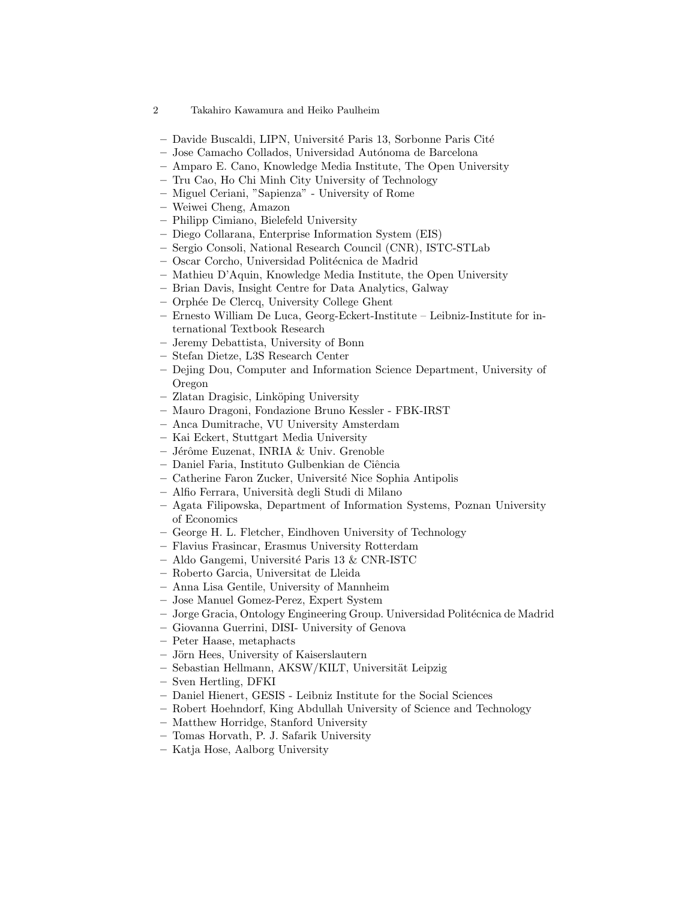- 2 Takahiro Kawamura and Heiko Paulheim
- Davide Buscaldi, LIPN, Universit´e Paris 13, Sorbonne Paris Cit´e
- Jose Camacho Collados, Universidad Aut´onoma de Barcelona
- Amparo E. Cano, Knowledge Media Institute, The Open University
- Tru Cao, Ho Chi Minh City University of Technology
- Miguel Ceriani, "Sapienza" University of Rome
- Weiwei Cheng, Amazon
- Philipp Cimiano, Bielefeld University
- Diego Collarana, Enterprise Information System (EIS)
- Sergio Consoli, National Research Council (CNR), ISTC-STLab
- Oscar Corcho, Universidad Polit´ecnica de Madrid
- Mathieu D'Aquin, Knowledge Media Institute, the Open University
- Brian Davis, Insight Centre for Data Analytics, Galway
- Orph´ee De Clercq, University College Ghent
- Ernesto William De Luca, Georg-Eckert-Institute Leibniz-Institute for international Textbook Research
- Jeremy Debattista, University of Bonn
- Stefan Dietze, L3S Research Center
- Dejing Dou, Computer and Information Science Department, University of Oregon
- Zlatan Dragisic, Link¨oping University
- Mauro Dragoni, Fondazione Bruno Kessler FBK-IRST
- Anca Dumitrache, VU University Amsterdam
- Kai Eckert, Stuttgart Media University
- Jérôme Euzenat, INRIA & Univ. Grenoble
- Daniel Faria, Instituto Gulbenkian de Ciˆencia
- Catherine Faron Zucker, Universit´e Nice Sophia Antipolis
- Alfio Ferrara, Universit`a degli Studi di Milano
- Agata Filipowska, Department of Information Systems, Poznan University of Economics
- George H. L. Fletcher, Eindhoven University of Technology
- Flavius Frasincar, Erasmus University Rotterdam
- Aldo Gangemi, Universit´e Paris 13 & CNR-ISTC
- Roberto Garcia, Universitat de Lleida
- Anna Lisa Gentile, University of Mannheim
- Jose Manuel Gomez-Perez, Expert System
- Jorge Gracia, Ontology Engineering Group. Universidad Polit´ecnica de Madrid
- Giovanna Guerrini, DISI- University of Genova
- Peter Haase, metaphacts
- Jörn Hees, University of Kaiserslautern
- Sebastian Hellmann, AKSW/KILT, Universität Leipzig
- Sven Hertling, DFKI
- Daniel Hienert, GESIS Leibniz Institute for the Social Sciences
- Robert Hoehndorf, King Abdullah University of Science and Technology
- Matthew Horridge, Stanford University
- Tomas Horvath, P. J. Safarik University
- Katja Hose, Aalborg University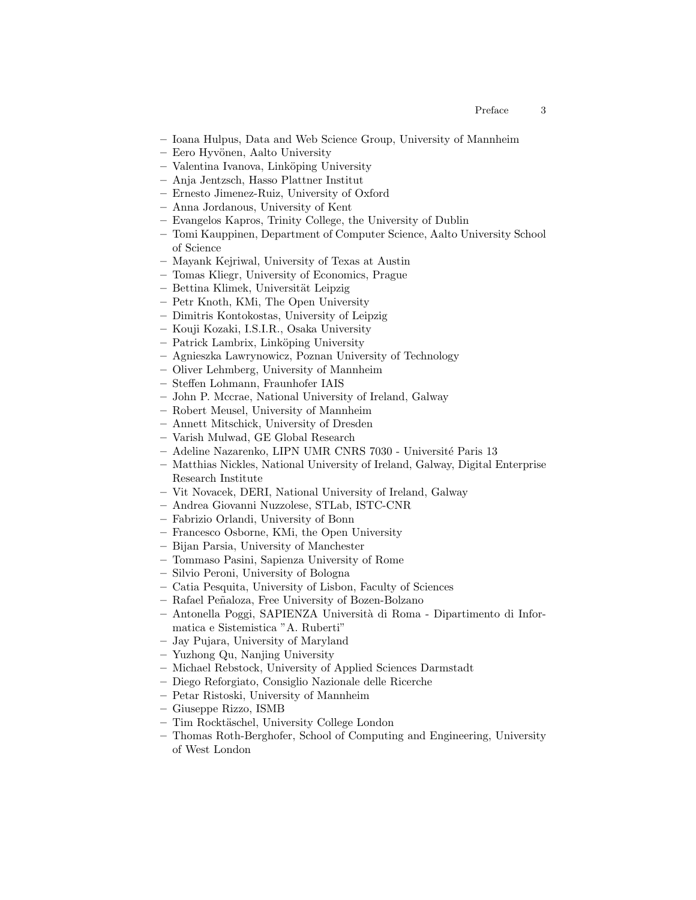- Ioana Hulpus, Data and Web Science Group, University of Mannheim
- Eero Hyv¨onen, Aalto University
- Valentina Ivanova, Link¨oping University
- Anja Jentzsch, Hasso Plattner Institut
- Ernesto Jimenez-Ruiz, University of Oxford
- Anna Jordanous, University of Kent
- Evangelos Kapros, Trinity College, the University of Dublin
- Tomi Kauppinen, Department of Computer Science, Aalto University School of Science
- Mayank Kejriwal, University of Texas at Austin
- Tomas Kliegr, University of Economics, Prague
- $-$  Bettina Klimek, Universität Leipzig
- Petr Knoth, KMi, The Open University
- Dimitris Kontokostas, University of Leipzig
- Kouji Kozaki, I.S.I.R., Osaka University
- Patrick Lambrix, Link¨oping University
- Agnieszka Lawrynowicz, Poznan University of Technology
- Oliver Lehmberg, University of Mannheim
- Steffen Lohmann, Fraunhofer IAIS
- John P. Mccrae, National University of Ireland, Galway
- Robert Meusel, University of Mannheim
- Annett Mitschick, University of Dresden
- Varish Mulwad, GE Global Research
- Adeline Nazarenko, LIPN UMR CNRS 7030 Universit´e Paris 13
- Matthias Nickles, National University of Ireland, Galway, Digital Enterprise Research Institute
- Vit Novacek, DERI, National University of Ireland, Galway
- Andrea Giovanni Nuzzolese, STLab, ISTC-CNR
- Fabrizio Orlandi, University of Bonn
- Francesco Osborne, KMi, the Open University
- Bijan Parsia, University of Manchester
- Tommaso Pasini, Sapienza University of Rome
- Silvio Peroni, University of Bologna
- Catia Pesquita, University of Lisbon, Faculty of Sciences
- Rafael Pe˜naloza, Free University of Bozen-Bolzano
- Antonella Poggi, SAPIENZA Universit`a di Roma Dipartimento di Informatica e Sistemistica "A. Ruberti"
- Jay Pujara, University of Maryland
- Yuzhong Qu, Nanjing University
- Michael Rebstock, University of Applied Sciences Darmstadt
- Diego Reforgiato, Consiglio Nazionale delle Ricerche
- Petar Ristoski, University of Mannheim
- Giuseppe Rizzo, ISMB
- Tim Rockt¨aschel, University College London
- Thomas Roth-Berghofer, School of Computing and Engineering, University of West London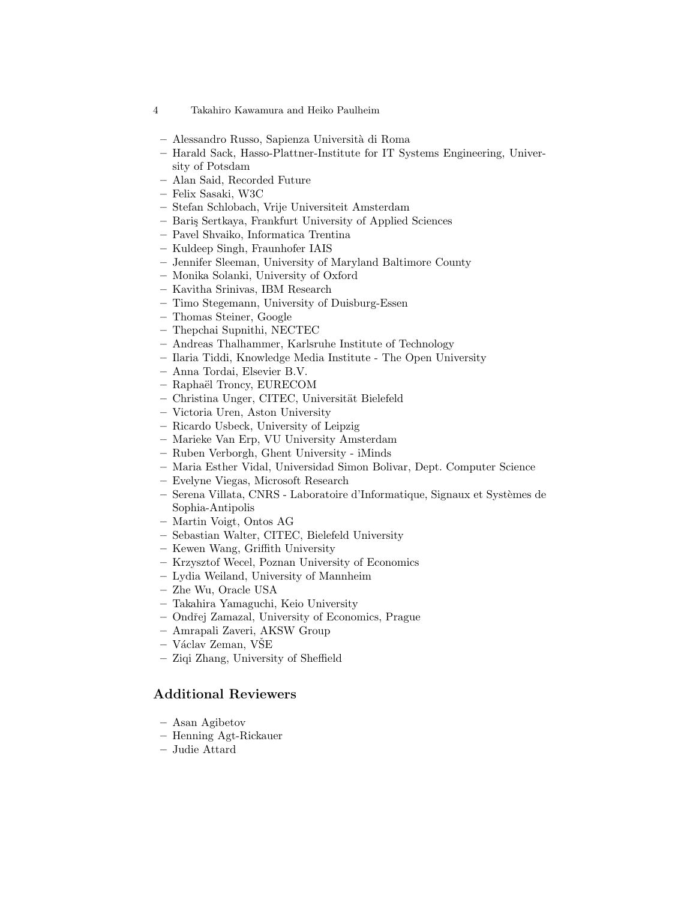- Alessandro Russo, Sapienza Universit`a di Roma
- Harald Sack, Hasso-Plattner-Institute for IT Systems Engineering, University of Potsdam
- Alan Said, Recorded Future
- Felix Sasaki, W3C
- Stefan Schlobach, Vrije Universiteit Amsterdam
- Bari¸s Sertkaya, Frankfurt University of Applied Sciences
- Pavel Shvaiko, Informatica Trentina
- Kuldeep Singh, Fraunhofer IAIS
- Jennifer Sleeman, University of Maryland Baltimore County
- Monika Solanki, University of Oxford
- Kavitha Srinivas, IBM Research
- Timo Stegemann, University of Duisburg-Essen
- Thomas Steiner, Google
- Thepchai Supnithi, NECTEC
- Andreas Thalhammer, Karlsruhe Institute of Technology
- Ilaria Tiddi, Knowledge Media Institute The Open University
- Anna Tordai, Elsevier B.V.
- Rapha¨el Troncy, EURECOM
- Christina Unger, CITEC, Universität Bielefeld
- Victoria Uren, Aston University
- Ricardo Usbeck, University of Leipzig
- Marieke Van Erp, VU University Amsterdam
- Ruben Verborgh, Ghent University iMinds
- Maria Esther Vidal, Universidad Simon Bolivar, Dept. Computer Science
- Evelyne Viegas, Microsoft Research
- Serena Villata, CNRS Laboratoire d'Informatique, Signaux et Syst`emes de Sophia-Antipolis
- Martin Voigt, Ontos AG
- Sebastian Walter, CITEC, Bielefeld University
- Kewen Wang, Griffith University
- Krzysztof Wecel, Poznan University of Economics
- Lydia Weiland, University of Mannheim
- Zhe Wu, Oracle USA
- Takahira Yamaguchi, Keio University
- Ondˇrej Zamazal, University of Economics, Prague
- Amrapali Zaveri, AKSW Group
- V´aclav Zeman, VSEˇ
- Ziqi Zhang, University of Sheffield

## Additional Reviewers

- Asan Agibetov
- Henning Agt-Rickauer
- Judie Attard

<sup>4</sup> Takahiro Kawamura and Heiko Paulheim